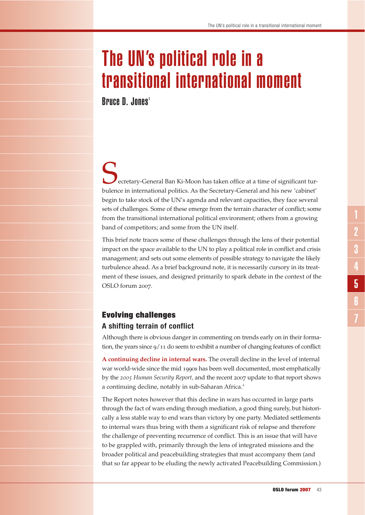# The UN's political role in a transitional international moment

**Bruce D. Jones<sup>1</sup>** 

ecretary-General Ban Ki-Moon has taken office at a time of significant turbulence in international politics. As the Secretary-General and his new 'cabinet' begin to take stock of the UN's agenda and relevant capacities, they face several sets of challenges. Some of these emerge from the terrain character of conflict; some from the transitional international political environment; others from a growing band of competitors; and some from the UN itself.

This brief note traces some of these challenges through the lens of their potential impact on the space available to the UN to play a political role in conflict and crisis management; and sets out some elements of possible strategy to navigate the likely turbulence ahead. As a brief background note, it is necessarily cursory in its treatment of these issues, and designed primarily to spark debate in the context of the OSLO forum 2007.

# Evolving challenges **A shifting terrain of conflict**

Although there is obvious danger in commenting on trends early on in their formation, the years since  $9/11$  do seem to exhibit a number of changing features of conflict:

**A continuing decline in internal wars.** The overall decline in the level of internal war world-wide since the mid 1990s has been well documented, most emphatically by the *2005 Human Security Report,* and the recent 2007 update to that report shows a continuing decline, notably in sub-Saharan Africa.<sup>2</sup>

The Report notes however that this decline in wars has occurred in large parts through the fact of wars ending through mediation, a good thing surely, but historically a less stable way to end wars than victory by one party. Mediated settlements to internal wars thus bring with them a significant risk of relapse and therefore the challenge of preventing recurrence of conflict. This is an issue that will have to be grappled with, primarily through the lens of integrated missions and the broader political and peacebuilding strategies that must accompany them (and that so far appear to be eluding the newly activated Peacebuilding Commission.)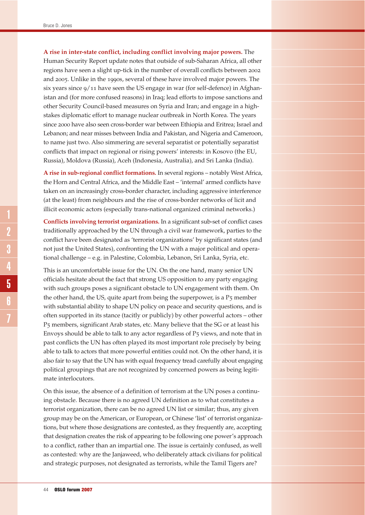**A rise in inter-state conflict, including conflict involving major powers.** The

Human Security Report update notes that outside of sub-Saharan Africa, all other regions have seen a slight up-tick in the number of overall conflicts between 2002 and 2005. Unlike in the 1990s, several of these have involved major powers. The six years since 9/11 have seen the US engage in war (for self-defence) in Afghanistan and (for more confused reasons) in Iraq; lead efforts to impose sanctions and other Security Council-based measures on Syria and Iran; and engage in a highstakes diplomatic effort to manage nuclear outbreak in North Korea. The years since 2000 have also seen cross-border war between Ethiopia and Eritrea; Israel and Lebanon; and near misses between India and Pakistan, and Nigeria and Cameroon, to name just two. Also simmering are several separatist or potentially separatist conflicts that impact on regional or rising powers' interests: in Kosovo (the EU, Russia), Moldova (Russia), Aceh (Indonesia, Australia), and Sri Lanka (India).

**A rise in sub-regional conflict formations.** In several regions – notably West Africa, the Horn and Central Africa, and the Middle East – 'internal' armed conflicts have taken on an increasingly cross-border character, including aggressive interference (at the least) from neighbours and the rise of cross-border networks of licit and illicit economic actors (especially trans-national organized criminal networks.)

**Conflicts involving terrorist organizations.** In a significant sub-set of conflict cases traditionally approached by the UN through a civil war framework, parties to the conflict have been designated as 'terrorist organizations' by significant states (and not just the United States), confronting the UN with a major political and operational challenge – e.g. in Palestine, Colombia, Lebanon, Sri Lanka, Syria, etc.

This is an uncomfortable issue for the UN. On the one hand, many senior UN officials hesitate about the fact that strong US opposition to any party engaging with such groups poses a significant obstacle to UN engagement with them. On the other hand, the US, quite apart from being the superpower, is a P5 member with substantial ability to shape UN policy on peace and security questions, and is often supported in its stance (tacitly or publicly) by other powerful actors – other P5 members, significant Arab states, etc. Many believe that the SG or at least his Envoys should be able to talk to any actor regardless of P5 views, and note that in past conflicts the UN has often played its most important role precisely by being able to talk to actors that more powerful entities could not. On the other hand, it is also fair to say that the UN has with equal frequency tread carefully about engaging political groupings that are not recognized by concerned powers as being legitimate interlocutors.

On this issue, the absence of a definition of terrorism at the UN poses a continuing obstacle. Because there is no agreed UN definition as to what constitutes a terrorist organization, there can be no agreed UN list or similar; thus, any given group may be on the American, or European, or Chinese 'list' of terrorist organizations, but where those designations are contested, as they frequently are, accepting that designation creates the risk of appearing to be following one power's approach to a conflict, rather than an impartial one. The issue is certainly confused, as well as contested: why are the Janjaweed, who deliberately attack civilians for political and strategic purposes, not designated as terrorists, while the Tamil Tigers are?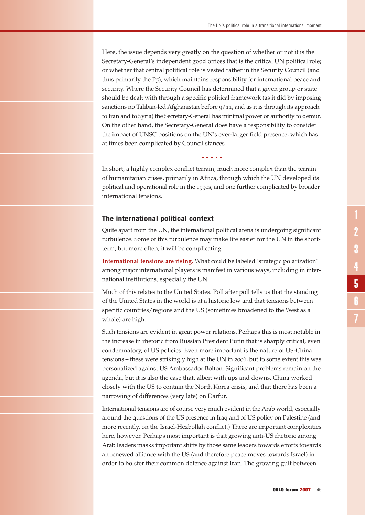Here, the issue depends very greatly on the question of whether or not it is the Secretary-General's independent good offices that is the critical UN political role; or whether that central political role is vested rather in the Security Council (and thus primarily the P5), which maintains responsibility for international peace and security. Where the Security Council has determined that a given group or state should be dealt with through a specific political framework (as it did by imposing sanctions no Taliban-led Afghanistan before  $9/11$ , and as it is through its approach to Iran and to Syria) the Secretary-General has minimal power or authority to demur. On the other hand, the Secretary-General does have a responsibility to consider the impact of UNSC positions on the UN's ever-larger field presence, which has at times been complicated by Council stances.

In short, a highly complex conflict terrain, much more complex than the terrain of humanitarian crises, primarily in Africa, through which the UN developed its political and operational role in the 1990s; and one further complicated by broader international tensions.

a a shekar

# **The international political context**

Quite apart from the UN, the international political arena is undergoing significant turbulence. Some of this turbulence may make life easier for the UN in the shortterm, but more often, it will be complicating.

**International tensions are rising.** What could be labeled 'strategic polarization' among major international players is manifest in various ways, including in international institutions, especially the UN.

Much of this relates to the United States. Poll after poll tells us that the standing of the United States in the world is at a historic low and that tensions between specific countries/regions and the US (sometimes broadened to the West as a whole) are high.

Such tensions are evident in great power relations. Perhaps this is most notable in the increase in rhetoric from Russian President Putin that is sharply critical, even condemnatory, of US policies. Even more important is the nature of US-China tensions – these were strikingly high at the UN in 2006, but to some extent this was personalized against US Ambassador Bolton. Significant problems remain on the agenda, but it is also the case that, albeit with ups and downs, China worked closely with the US to contain the North Korea crisis, and that there has been a narrowing of differences (very late) on Darfur.

International tensions are of course very much evident in the Arab world, especially around the questions of the US presence in Iraq and of US policy on Palestine (and more recently, on the Israel-Hezbollah conflict.) There are important complexities here, however. Perhaps most important is that growing anti-US rhetoric among Arab leaders masks important shifts by those same leaders towards efforts towards an renewed alliance with the US (and therefore peace moves towards Israel) in order to bolster their common defence against Iran. The growing gulf between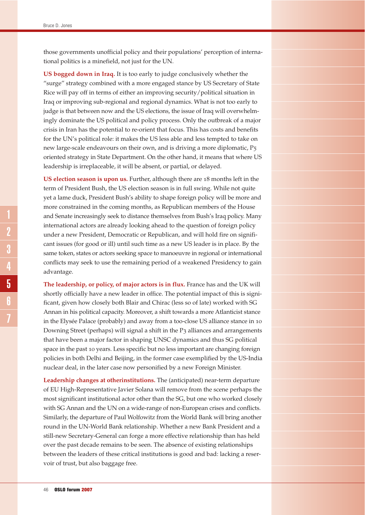those governments unofficial policy and their populations' perception of international politics is a minefield, not just for the UN.

**US bogged down in Iraq.** It is too early to judge conclusively whether the "surge" strategy combined with a more engaged stance by US Secretary of State Rice will pay off in terms of either an improving security/political situation in Iraq or improving sub-regional and regional dynamics. What is not too early to judge is that between now and the US elections, the issue of Iraq will overwhelmingly dominate the US political and policy process. Only the outbreak of a major crisis in Iran has the potential to re-orient that focus. This has costs and benefits for the UN's political role: it makes the US less able and less tempted to take on new large-scale endeavours on their own, and is driving a more diplomatic, P5 oriented strategy in State Department. On the other hand, it means that where US leadership is irreplaceable, it will be absent, or partial, or delayed.

**US election season is upon us.** Further, although there are 18 months left in the term of President Bush, the US election season is in full swing. While not quite yet a lame duck, President Bush's ability to shape foreign policy will be more and more constrained in the coming months, as Republican members of the House and Senate increasingly seek to distance themselves from Bush's Iraq policy. Many international actors are already looking ahead to the question of foreign policy under a new President, Democratic or Republican, and will hold fire on significant issues (for good or ill) until such time as a new US leader is in place. By the same token, states or actors seeking space to manoeuvre in regional or international conflicts may seek to use the remaining period of a weakened Presidency to gain advantage.

**The leadership, or policy, of major actors is in flux.** France has and the UK will shortly officially have a new leader in office. The potential impact of this is significant, given how closely both Blair and Chirac (less so of late) worked with SG Annan in his political capacity. Moreover, a shift towards a more Atlanticist stance in the Elysée Palace (probably) and away from a too-close US alliance stance in 10 Downing Street (perhaps) will signal a shift in the P3 alliances and arrangements that have been a major factor in shaping UNSC dynamics and thus SG political space in the past 10 years. Less specific but no less important are changing foreign policies in both Delhi and Beijing, in the former case exemplified by the US-India nuclear deal, in the later case now personified by a new Foreign Minister.

**Leadership changes at otherinstitutions.** The (anticipated) near-term departure of EU High-Representative Javier Solana will remove from the scene perhaps the most significant institutional actor other than the SG, but one who worked closely with SG Annan and the UN on a wide-range of non-European crises and conflicts. Similarly, the departure of Paul Wolfowitz from the World Bank will bring another round in the UN-World Bank relationship. Whether a new Bank President and a still-new Secretary-General can forge a more effective relationship than has held over the past decade remains to be seen. The absence of existing relationships between the leaders of these critical institutions is good and bad: lacking a reservoir of trust, but also baggage free.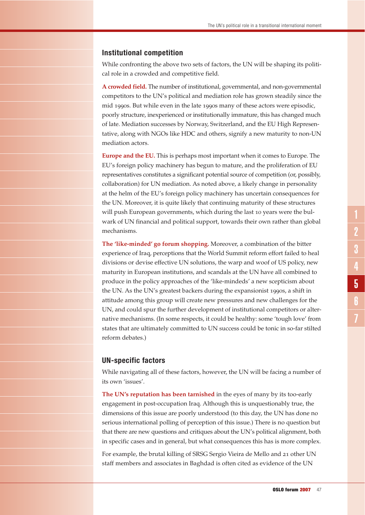#### **Institutional competition**

While confronting the above two sets of factors, the UN will be shaping its political role in a crowded and competitive field.

**A crowded field.** The number of institutional, governmental, and non-governmental competitors to the UN's political and mediation role has grown steadily since the mid 1990s. But while even in the late 1990s many of these actors were episodic, poorly structure, inexperienced or institutionally immature, this has changed much of late. Mediation successes by Norway, Switzerland, and the EU High Representative, along with NGOs like HDC and others, signify a new maturity to non-UN mediation actors.

**Europe and the EU.** This is perhaps most important when it comes to Europe. The EU's foreign policy machinery has begun to mature, and the proliferation of EU representatives constitutes a significant potential source of competition (or, possibly, collaboration) for UN mediation. As noted above, a likely change in personality at the helm of the EU's foreign policy machinery has uncertain consequences for the UN. Moreover, it is quite likely that continuing maturity of these structures will push European governments, which during the last 10 years were the bulwark of UN financial and political support, towards their own rather than global mechanisms.

**The 'like-minded' go forum shopping.** Moreover, a combination of the bitter experience of Iraq, perceptions that the World Summit reform effort failed to heal divisions or devise effective UN solutions, the warp and woof of US policy, new maturity in European institutions, and scandals at the UN have all combined to produce in the policy approaches of the 'like-mindeds' a new scepticism about the UN. As the UN's greatest backers during the expansionist 1990s, a shift in attitude among this group will create new pressures and new challenges for the UN, and could spur the further development of institutional competitors or alternative mechanisms. (In some respects, it could be healthy: some 'tough love' from states that are ultimately committed to UN success could be tonic in so-far stilted reform debates.)

### **UN-specific factors**

While navigating all of these factors, however, the UN will be facing a number of its own 'issues'.

**The UN's reputation has been tarnished** in the eyes of many by its too-early engagement in post-occupation Iraq. Although this is unquestionably true, the dimensions of this issue are poorly understood (to this day, the UN has done no serious international polling of perception of this issue.) There is no question but that there are new questions and critiques about the UN's political alignment, both in specific cases and in general, but what consequences this has is more complex.

For example, the brutal killing of SRSG Sergio Vieira de Mello and 21 other UN staff members and associates in Baghdad is often cited as evidence of the UN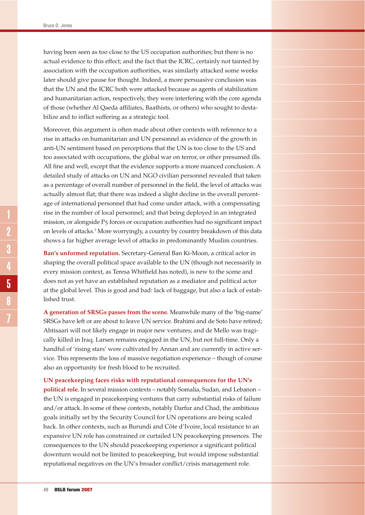having been seen as too close to the US occupation authorities; but there is no actual evidence to this effect; and the fact that the ICRC, certainly not tainted by association with the occupation authorities, was similarly attacked some weeks later should give pause for thought. Indeed, a more persuasive conclusion was that the UN and the ICRC both were attacked because as agents of stabilization and humanitarian action, respectively, they were interfering with the core agenda of those (whether Al Qaeda affiliates, Baathists, or others) who sought to destabilize and to inflict suffering as a strategic tool.

Moreover, this argument is often made about other contexts with reference to a rise in attacks on humanitarian and UN personnel as evidence of the growth in anti-UN sentiment based on perceptions that the UN is too close to the US and too associated with occupations, the global war on terror, or other presumed ills. All fine and well, except that the evidence supports a more nuanced conclusion. A detailed study of attacks on UN and NGO civilian personnel revealed that taken as a percentage of overall number of personnel in the field, the level of attacks was actually almost flat; that there was indeed a slight decline in the overall percentage of international personnel that had come under attack, with a compensating rise in the number of local personnel; and that being deployed in an integrated mission, or alongside P5 forces or occupation authorities had no significant impact on levels of attacks.<sup>3</sup> More worryingly, a country by country breakdown of this data shows a far higher average level of attacks in predominantly Muslim countries.

**Ban's unformed reputation.** Secretary-General Ban Ki-Moon, a critical actor in shaping the overall political space available to the UN (though not necessarily in every mission context, as Teresa Whitfield has noted), is new to the scene and does not as yet have an established reputation as a mediator and political actor at the global level. This is good and bad: lack of baggage, but also a lack of established trust.

**A generation of SRSGs passes from the scene.** Meanwhile many of the 'big-name' SRSGs have left or are about to leave UN service. Brahimi and de Soto have retired; Ahtisaari will not likely engage in major new ventures; and de Mello was tragically killed in Iraq. Larsen remains engaged in the UN, but not full-time. Only a handful of 'rising stars' were cultivated by Annan and are currently in active service. This represents the loss of massive negotiation experience – though of course also an opportunity for fresh blood to be recruited.

**UN peacekeeping faces risks with reputational consequences for the UN's political role.** In several mission contexts – notably Somalia, Sudan, and Lebanon – the UN is engaged in peacekeeping ventures that carry substantial risks of failure and/or attack. In some of these contexts, notably Darfur and Chad, the ambitious goals initially set by the Security Council for UN operations are being scaled back. In other contexts, such as Burundi and Côte d'Ivoire, local resistance to an expansive UN role has constrained or curtailed UN peacekeeping presences. The consequences to the UN should peacekeeping experience a significant political downturn would not be limited to peacekeeping, but would impose substantial reputational negatives on the UN's broader conflict/crisis management role.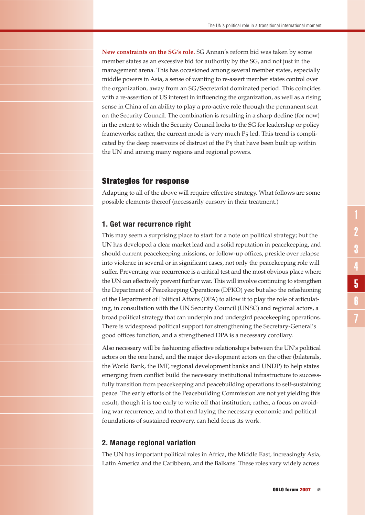**New constraints on the SG's role.** SG Annan's reform bid was taken by some member states as an excessive bid for authority by the SG, and not just in the management arena. This has occasioned among several member states, especially middle powers in Asia, a sense of wanting to re-assert member states control over the organization, away from an SG/Secretariat dominated period. This coincides with a re-assertion of US interest in influencing the organization, as well as a rising sense in China of an ability to play a pro-active role through the permanent seat on the Security Council. The combination is resulting in a sharp decline (for now) in the extent to which the Security Council looks to the SG for leadership or policy frameworks; rather, the current mode is very much  $P_5$  led. This trend is complicated by the deep reservoirs of distrust of the P5 that have been built up within the UN and among many regions and regional powers.

# Strategies for response

Adapting to all of the above will require effective strategy. What follows are some possible elements thereof (necessarily cursory in their treatment.)

# **1. Get war recurrence right**

This may seem a surprising place to start for a note on political strategy; but the UN has developed a clear market lead and a solid reputation in peacekeeping, and should current peacekeeping missions, or follow-up offices, preside over relapse into violence in several or in significant cases, not only the peacekeeping role will suffer. Preventing war recurrence is a critical test and the most obvious place where the UN can effectively prevent further war. This will involve continuing to strengthen the Department of Peacekeeping Operations (DPKO) yes: but also the refashioning of the Department of Political Affairs (DPA) to allow it to play the role of articulating, in consultation with the UN Security Council (UNSC) and regional actors, a broad political strategy that can underpin and undergird peacekeeping operations. There is widespread political support for strengthening the Secretary-General's good offices function, and a strengthened DPA is a necessary corollary.

Also necessary will be fashioning effective relationships between the UN's political actors on the one hand, and the major development actors on the other (bilaterals, the World Bank, the IMF, regional development banks and UNDP) to help states emerging from conflict build the necessary institutional infrastructure to successfully transition from peacekeeping and peacebuilding operations to self-sustaining peace. The early efforts of the Peacebuilding Commission are not yet yielding this result, though it is too early to write off that institution; rather, a focus on avoiding war recurrence, and to that end laying the necessary economic and political foundations of sustained recovery, can held focus its work.

# **2. Manage regional variation**

The UN has important political roles in Africa, the Middle East, increasingly Asia, Latin America and the Caribbean, and the Balkans. These roles vary widely across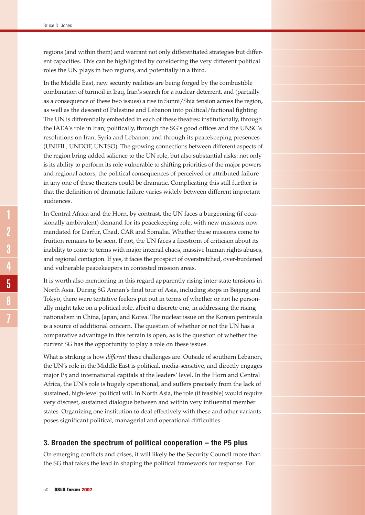regions (and within them) and warrant not only differentiated strategies but different capacities. This can be highlighted by considering the very different political roles the UN plays in two regions, and potentially in a third.

In the Middle East, new security realities are being forged by the combustible combination of turmoil in Iraq, Iran's search for a nuclear deterrent, and (partially as a consequence of these two issues) a rise in Sunni/Shia tension across the region, as well as the descent of Palestine and Lebanon into political/factional fighting. The UN is differentially embedded in each of these theatres: institutionally, through the IAEA's role in Iran; politically, through the SG's good offices and the UNSC's resolutions on Iran, Syria and Lebanon; and through its peacekeeping presences (UNIFIL, UNDOF, UNTSO). The growing connections between different aspects of the region bring added salience to the UN role, but also substantial risks: not only is its ability to perform its role vulnerable to shifting priorities of the major powers and regional actors, the political consequences of perceived or attributed failure in any one of these theaters could be dramatic. Complicating this still further is that the definition of dramatic failure varies widely between different important audiences.

In Central Africa and the Horn, by contrast, the UN faces a burgeoning (if occasionally ambivalent) demand for its peacekeeping role, with new missions now mandated for Darfur, Chad, CAR and Somalia. Whether these missions come to fruition remains to be seen. If not, the UN faces a firestorm of criticism about its inability to come to terms with major internal chaos, massive human rights abuses, and regional contagion. If yes, it faces the prospect of overstretched, over-burdened and vulnerable peacekeepers in contested mission areas.

It is worth also mentioning in this regard apparently rising inter-state tensions in North Asia. During SG Annan's final tour of Asia, including stops in Beijing and Tokyo, there were tentative feelers put out in terms of whether or not he personally might take on a political role, albeit a discrete one, in addressing the rising nationalism in China, Japan, and Korea. The nuclear issue on the Korean peninsula is a source of additional concern. The question of whether or not the UN has a comparative advantage in this terrain is open, as is the question of whether the current SG has the opportunity to play a role on these issues.

What is striking is how *different* these challenges are. Outside of southern Lebanon, the UN's role in the Middle East is political, media-sensitive, and directly engages major P5 and international capitals at the leaders' level. In the Horn and Central Africa, the UN's role is hugely operational, and suffers precisely from the lack of sustained, high-level political will. In North Asia, the role (if feasible) would require very discreet, sustained dialogue between and within very influential member states. Organizing one institution to deal effectively with these and other variants poses significant political, managerial and operational difficulties.

# **3. Broaden the spectrum of political cooperation – the P5 plus**

On emerging conflicts and crises, it will likely be the Security Council more than the SG that takes the lead in shaping the political framework for response. For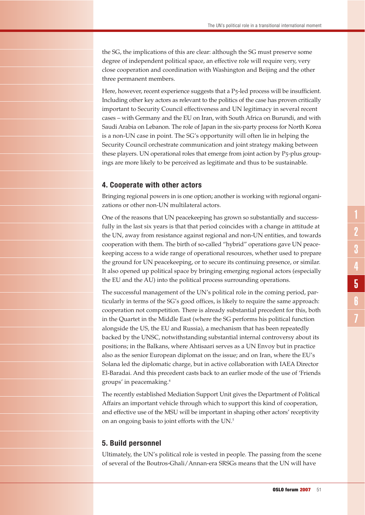the SG, the implications of this are clear: although the SG must preserve some degree of independent political space, an effective role will require very, very close cooperation and coordination with Washington and Beijing and the other three permanent members.

Here, however, recent experience suggests that a P<sub>5</sub>-led process will be insufficient. Including other key actors as relevant to the politics of the case has proven critically important to Security Council effectiveness and UN legitimacy in several recent cases – with Germany and the EU on Iran, with South Africa on Burundi, and with Saudi Arabia on Lebanon. The role of Japan in the six-party process for North Korea is a non-UN case in point. The SG's opportunity will often lie in helping the Security Council orchestrate communication and joint strategy making between these players. UN operational roles that emerge from joint action by P5-plus groupings are more likely to be perceived as legitimate and thus to be sustainable.

#### **4. Cooperate with other actors**

Bringing regional powers in is one option; another is working with regional organizations or other non-UN multilateral actors.

One of the reasons that UN peacekeeping has grown so substantially and successfully in the last six years is that that period coincides with a change in attitude at the UN, away from resistance against regional and non-UN entities, and towards cooperation with them. The birth of so-called "hybrid" operations gave UN peacekeeping access to a wide range of operational resources, whether used to prepare the ground for UN peacekeeping, or to secure its continuing presence, or similar. It also opened up political space by bringing emerging regional actors (especially the EU and the AU) into the political process surrounding operations.

The successful management of the UN's political role in the coming period, particularly in terms of the SG's good offices, is likely to require the same approach: cooperation not competition. There is already substantial precedent for this, both in the Quartet in the Middle East (where the SG performs his political function alongside the US, the EU and Russia), a mechanism that has been repeatedly backed by the UNSC, notwithstanding substantial internal controversy about its positions; in the Balkans, where Ahtisaari serves as a UN Envoy but in practice also as the senior European diplomat on the issue; and on Iran, where the EU's Solana led the diplomatic charge, but in active collaboration with IAEA Director El-Baradai. And this precedent casts back to an earlier mode of the use of 'Friends groups' in peacemaking.<sup>4</sup>

The recently established Mediation Support Unit gives the Department of Political Affairs an important vehicle through which to support this kind of cooperation, and effective use of the MSU will be important in shaping other actors' receptivity on an ongoing basis to joint efforts with the UN.<sup>5</sup>

### **5. Build personnel**

Ultimately, the UN's political role is vested in people. The passing from the scene of several of the Boutros-Ghali/Annan-era SRSGs means that the UN will have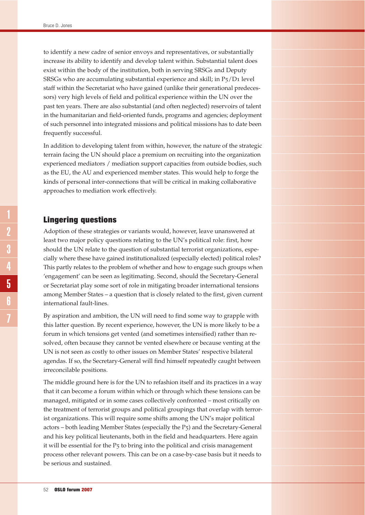to identify a new cadre of senior envoys and representatives, or substantially increase its ability to identify and develop talent within. Substantial talent does exist within the body of the institution, both in serving SRSGs and Deputy SRSGs who are accumulating substantial experience and skill; in P5/D1 level staff within the Secretariat who have gained (unlike their generational predecessors) very high levels of field and political experience within the UN over the past ten years. There are also substantial (and often neglected) reservoirs of talent in the humanitarian and field-oriented funds, programs and agencies; deployment of such personnel into integrated missions and political missions has to date been frequently successful.

In addition to developing talent from within, however, the nature of the strategic terrain facing the UN should place a premium on recruiting into the organization experienced mediators / mediation support capacities from outside bodies, such as the EU, the AU and experienced member states. This would help to forge the kinds of personal inter-connections that will be critical in making collaborative approaches to mediation work effectively.

# Lingering questions

Adoption of these strategies or variants would, however, leave unanswered at least two major policy questions relating to the UN's political role: first, how should the UN relate to the question of substantial terrorist organizations, especially where these have gained institutionalized (especially elected) political roles? This partly relates to the problem of whether and how to engage such groups when 'engagement' can be seen as legitimating. Second, should the Secretary-General or Secretariat play some sort of role in mitigating broader international tensions among Member States – a question that is closely related to the first, given current international fault-lines.

By aspiration and ambition, the UN will need to find some way to grapple with this latter question. By recent experience, however, the UN is more likely to be a forum in which tensions get vented (and sometimes intensified) rather than resolved, often because they cannot be vented elsewhere or because venting at the UN is not seen as costly to other issues on Member States' respective bilateral agendas. If so, the Secretary-General will find himself repeatedly caught between irreconcilable positions.

The middle ground here is for the UN to refashion itself and its practices in a way that it can become a forum within which or through which these tensions can be managed, mitigated or in some cases collectively confronted – most critically on the treatment of terrorist groups and political groupings that overlap with terrorist organizations. This will require some shifts among the UN's major political actors – both leading Member States (especially the P5) and the Secretary-General and his key political lieutenants, both in the field and headquarters. Here again it will be essential for the P5 to bring into the political and crisis management process other relevant powers. This can be on a case-by-case basis but it needs to be serious and sustained.